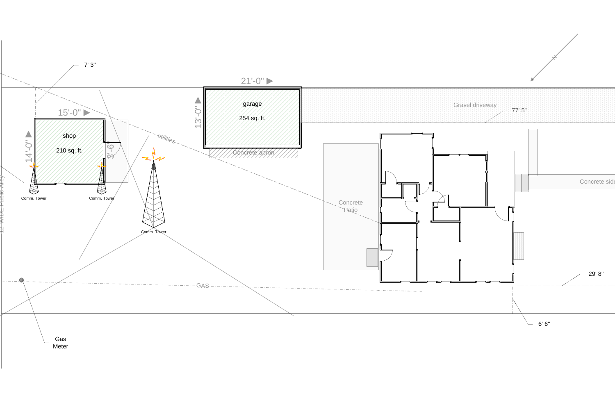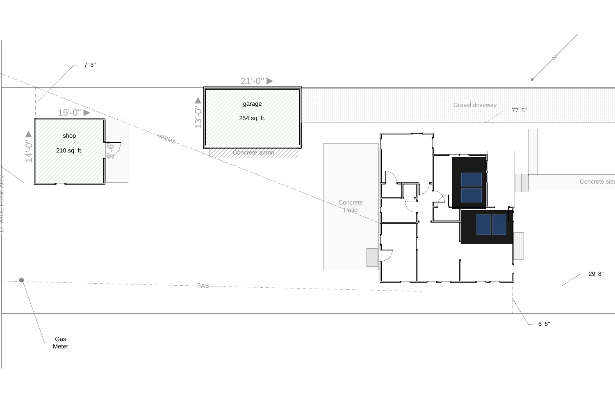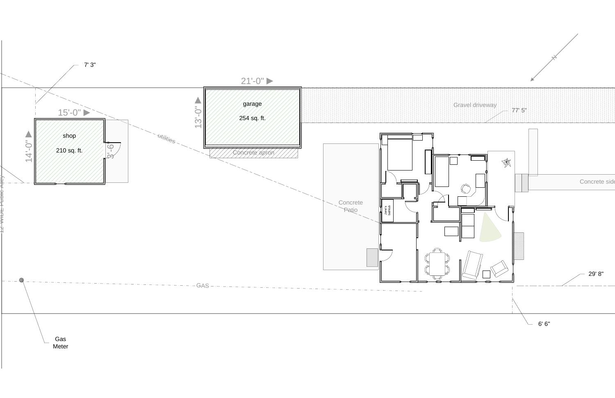